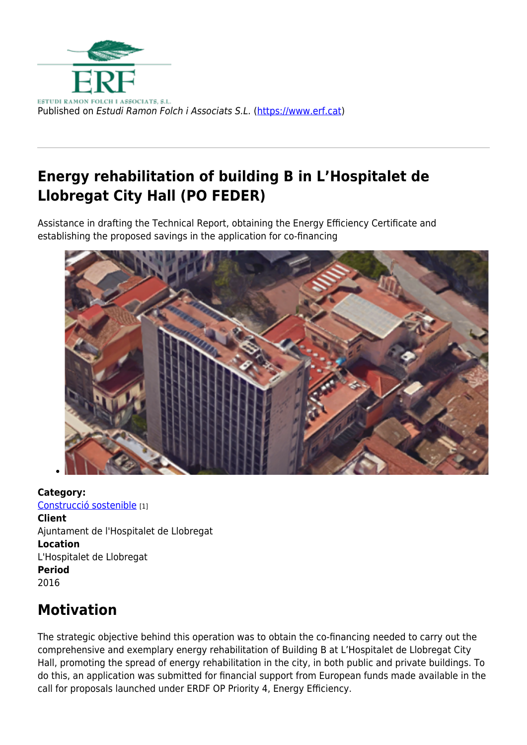

# **Energy rehabilitation of building B in L'Hospitalet de Llobregat City Hall (PO FEDER)**

Assistance in drafting the Technical Report, obtaining the Energy Efficiency Certificate and establishing the proposed savings in the application for co-financing



**Category:**  [Construcció sostenible](https://www.erf.cat/en/projectes/?field__mbit_tid=453) [1] **Client**  Ajuntament de l'Hospitalet de Llobregat **Location**  L'Hospitalet de Llobregat **Period**  2016

## **Motivation**

The strategic objective behind this operation was to obtain the co-financing needed to carry out the comprehensive and exemplary energy rehabilitation of Building B at L'Hospitalet de Llobregat City Hall, promoting the spread of energy rehabilitation in the city, in both public and private buildings. To do this, an application was submitted for financial support from European funds made available in the call for proposals launched under ERDF OP Priority 4, Energy Efficiency.